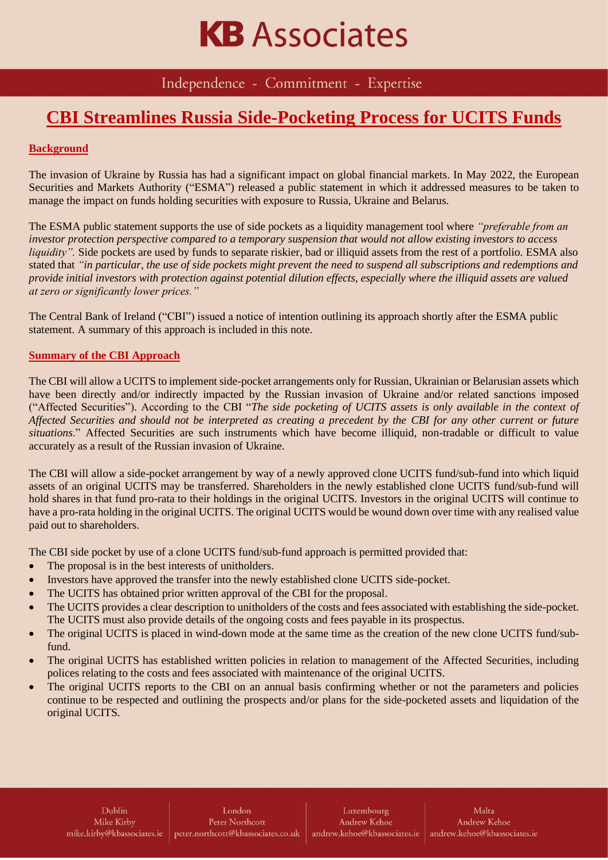## **KB** Associates

Independence - Commitment - Expertise

### **CBI Streamlines Russia Side-Pocketing Process for UCITS Funds**

#### **Background**

The invasion of Ukraine by Russia has had a significant impact on global financial markets. In May 2022, the European Securities and Markets Authority ("ESMA") released a public statement in which it addressed measures to be taken to manage the impact on funds holding securities with exposure to Russia, Ukraine and Belarus.

The ESMA public statement supports the use of side pockets as a liquidity management tool where *"preferable from an investor protection perspective compared to a temporary suspension that would not allow existing investors to access liquidity".* Side pockets are used by funds to separate riskier, bad or illiquid assets from the rest of a portfolio. ESMA also stated that *"in particular, the use of side pockets might prevent the need to suspend all subscriptions and redemptions and provide initial investors with protection against potential dilution effects, especially where the illiquid assets are valued at zero or significantly lower prices."*

The Central Bank of Ireland ("CBI") issued a notice of intention outlining its approach shortly after the ESMA public statement. A summary of this approach is included in this note.

#### **Summary of the CBI Approach**

The CBI will allow a UCITS to implement side-pocket arrangements only for Russian, Ukrainian or Belarusian assets which have been directly and/or indirectly impacted by the Russian invasion of Ukraine and/or related sanctions imposed ("Affected Securities"). According to the CBI "*The side pocketing of UCITS assets is only available in the context of Affected Securities and should not be interpreted as creating a precedent by the CBI for any other current or future situations*." Affected Securities are such instruments which have become illiquid, non-tradable or difficult to value accurately as a result of the Russian invasion of Ukraine.

The CBI will allow a side-pocket arrangement by way of a newly approved clone UCITS fund/sub-fund into which liquid assets of an original UCITS may be transferred. Shareholders in the newly established clone UCITS fund/sub-fund will hold shares in that fund pro-rata to their holdings in the original UCITS. Investors in the original UCITS will continue to have a pro-rata holding in the original UCITS. The original UCITS would be wound down over time with any realised value paid out to shareholders.

The CBI side pocket by use of a clone UCITS fund/sub-fund approach is permitted provided that:

- The proposal is in the best interests of unitholders.
- Investors have approved the transfer into the newly established clone UCITS side-pocket.
- The UCITS has obtained prior written approval of the CBI for the proposal.
- The UCITS provides a clear description to unitholders of the costs and fees associated with establishing the side-pocket. The UCITS must also provide details of the ongoing costs and fees payable in its prospectus.
- The original UCITS is placed in wind-down mode at the same time as the creation of the new clone UCITS fund/subfund.
- The original UCITS has established written policies in relation to management of the Affected Securities, including polices relating to the costs and fees associated with maintenance of the original UCITS.
- The original UCITS reports to the CBI on an annual basis confirming whether or not the parameters and policies continue to be respected and outlining the prospects and/or plans for the side-pocketed assets and liquidation of the original UCITS.